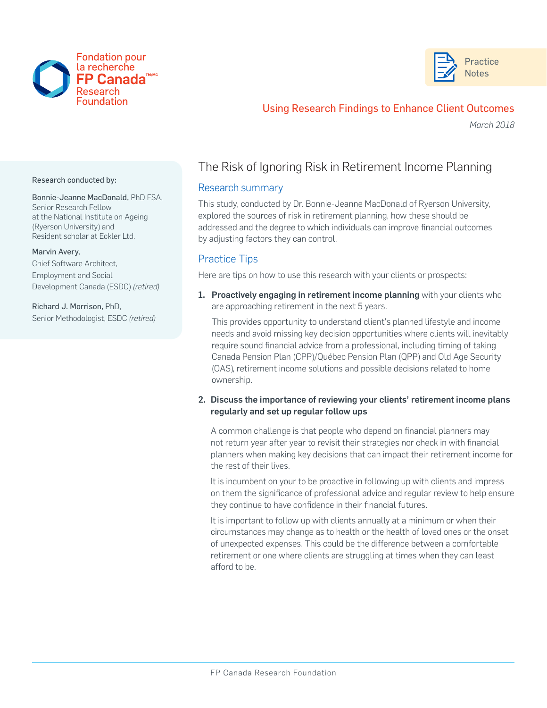



## Using Research Findings to Enhance Client Outcomes

*March 2018*

#### Research conducted by:

Bonnie-Jeanne MacDonald, PhD FSA, Senior Research Fellow at the National Institute on Ageing (Ryerson University) and Resident scholar at Eckler Ltd.

#### Marvin Avery,

Chief Software Architect, Employment and Social Development Canada (ESDC) *(retired)* 

Richard J. Morrison, PhD, Senior Methodologist, ESDC *(retired)*

## The Risk of Ignoring Risk in Retirement Income Planning

### Research summary

This study, conducted by Dr. Bonnie-Jeanne MacDonald of Ryerson University, explored the sources of risk in retirement planning, how these should be addressed and the degree to which individuals can improve financial outcomes by adjusting factors they can control.

### Practice Tips

Here are tips on how to use this research with your clients or prospects:

1. Proactively engaging in retirement income planning with your clients who are approaching retirement in the next 5 years.

This provides opportunity to understand client's planned lifestyle and income needs and avoid missing key decision opportunities where clients will inevitably require sound financial advice from a professional, including timing of taking Canada Pension Plan (CPP)/Québec Pension Plan (QPP) and Old Age Security (OAS), retirement income solutions and possible decisions related to home ownership.

2. Discuss the importance of reviewing your clients' retirement income plans regularly and set up regular follow ups

A common challenge is that people who depend on financial planners may not return year after year to revisit their strategies nor check in with financial planners when making key decisions that can impact their retirement income for the rest of their lives.

It is incumbent on your to be proactive in following up with clients and impress on them the significance of professional advice and regular review to help ensure they continue to have confidence in their financial futures.

It is important to follow up with clients annually at a minimum or when their circumstances may change as to health or the health of loved ones or the onset of unexpected expenses. This could be the difference between a comfortable retirement or one where clients are struggling at times when they can least afford to be.